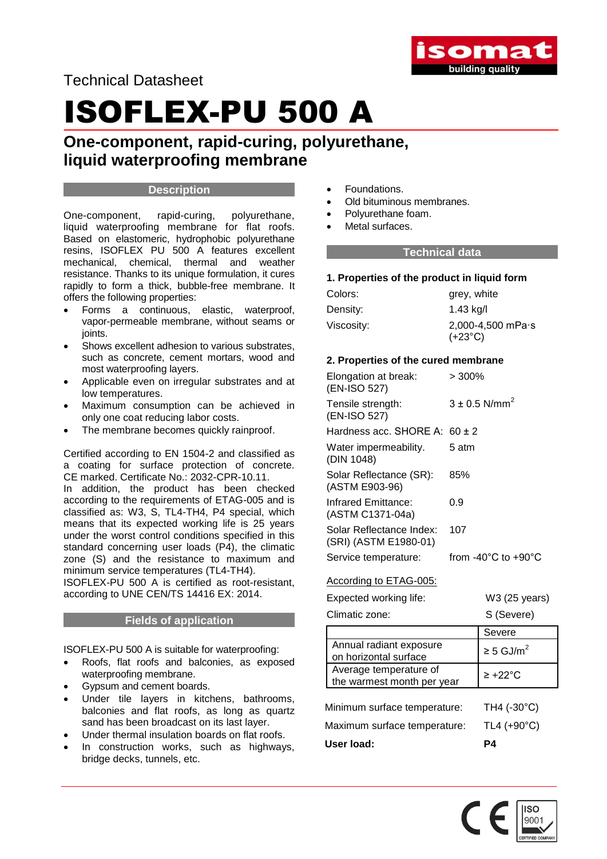

Technical Datasheet

# ISOFLEX-PU 500 A

**One-component, rapid-curing, polyurethane, liquid waterproofing membrane**

## **Description**

One-component, rapid-curing, polyurethane, liquid waterproofing membrane for flat roofs. Based on elastomeric, hydrophobic polyurethane resins, ISOFLEX PU 500 A features excellent mechanical, chemical, thermal and weather resistance. Thanks to its unique formulation, it cures rapidly to form a thick, bubble-free membrane. It offers the following properties:

- Forms a continuous, elastic, waterproof, vapor-permeable membrane, without seams or ioints.
- Shows excellent adhesion to various substrates, such as concrete, cement mortars, wood and most waterproofing layers.
- Applicable even on irregular substrates and at low temperatures.
- Maximum consumption can be achieved in only one coat reducing labor costs.
- The membrane becomes quickly rainproof.

Certified according to EN 1504-2 and classified as a coating for surface protection of concrete. CE marked. Certificate No.: 2032-CPR-10.11.

In addition, the product has been checked according to the requirements of ETAG-005 and is classified as: W3, S, TL4-TH4, P4 special, which means that its expected working life is 25 years under the worst control conditions specified in this standard concerning user loads (P4), the climatic zone (S) and the resistance to maximum and minimum service temperatures (TL4-TH4).

ISOFLEX-PU 500 A is certified as root-resistant, according to UNE CEN/TS 14416 EX: 2014.

## **Fields of application**

ISOFLEX-PU 500 A is suitable for waterproofing:

- Roofs, flat roofs and balconies, as exposed waterproofing membrane.
- Gypsum and cement boards.
- Under tile layers in kitchens, bathrooms, balconies and flat roofs, as long as quartz sand has been broadcast on its last layer.
- Under thermal insulation boards on flat roofs.
- In construction works, such as highways, bridge decks, tunnels, etc.
- Foundations.
- Old bituminous membranes.
- Polyurethane foam.
- Metal surfaces.

## **Technical data**

## **1. Properties of the product in liquid form**

| Colors:    | grey, white                                     |
|------------|-------------------------------------------------|
| Density:   | 1.43 kg/l                                       |
| Viscosity: | $2,000-4,500$ mPa $\cdot$ s<br>$(+23^{\circ}C)$ |

## **2. Properties of the cured membrane**

| Elongation at break:<br>(EN-ISO 527)                 | >300%      |                                         |
|------------------------------------------------------|------------|-----------------------------------------|
| Tensile strength:<br>(EN-ISO 527)                    |            | $3 \pm 0.5$ N/mm <sup>2</sup>           |
| Hardness acc. SHORE A:                               | $60 \pm 2$ |                                         |
| Water impermeability.<br>(DIN 1048)                  | 5 atm      |                                         |
| Solar Reflectance (SR):<br>(ASTM E903-96)            | 85%        |                                         |
| Infrared Emittance:<br>(ASTM C1371-04a)              | 0.9        |                                         |
| Solar Reflectance Index:<br>(SRI) (ASTM E1980-01)    | 107        |                                         |
| Service temperature:                                 |            | from $-40^{\circ}$ C to $+90^{\circ}$ C |
| According to ETAG-005:                               |            |                                         |
| Expected working life:                               |            | W3 (25 years)                           |
| Climatic zone:                                       |            | S (Severe)                              |
|                                                      |            | Severe                                  |
| Annual radiant exposure<br>on horizontal surface     |            | $\geq$ 5 GJ/m <sup>2</sup>              |
| Average temperature of<br>the warmest month per year |            | $\geq$ +22°C                            |
| Minimum surface temperature:                         |            | TH4 (-30°C)                             |
| Maximum surface temperature:                         |            | TL4 (+90°C)                             |
| User load:                                           |            | P <sub>4</sub>                          |

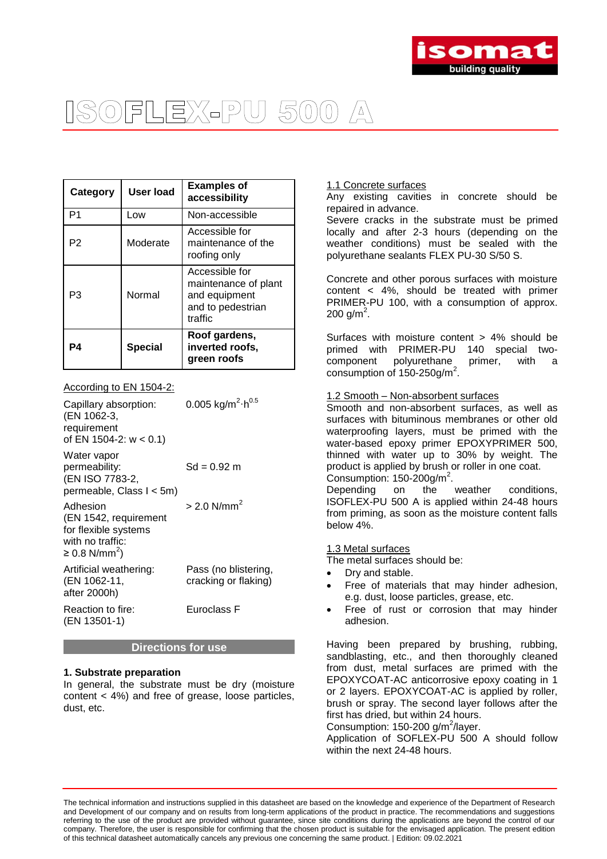

## |뒤디록X시인U 5(0)(0)  $\sqrt{\frac{1}{2}}$

| Category       | User load | <b>Examples of</b><br>accessibility                                                     |
|----------------|-----------|-----------------------------------------------------------------------------------------|
| P <sub>1</sub> | Low       | Non-accessible                                                                          |
| P <sub>2</sub> | Moderate  | Accessible for<br>maintenance of the<br>roofing only                                    |
| P3             | Normal    | Accessible for<br>maintenance of plant<br>and equipment<br>and to pedestrian<br>traffic |
| P4             | Special   | Roof gardens,<br>inverted roofs,<br>green roofs                                         |

## According to EN 1504-2:

| Capillary absorption:<br>(EN 1062-3,<br>requirement<br>of EN 1504-2: $w < 0.1$ )                           | 0.005 kg/m <sup>2</sup> $\cdot$ h <sup>0.5</sup> |
|------------------------------------------------------------------------------------------------------------|--------------------------------------------------|
| Water vapor<br>permeability:<br>(EN ISO 7783-2,<br>permeable, Class I < 5m)                                | Sd = 0.92 m                                      |
| Adhesion<br>(EN 1542, requirement<br>for flexible systems<br>with no traffic:<br>≥ 0.8 N/mm <sup>2</sup> ) | $> 2.0$ N/mm <sup>2</sup>                        |
| Artificial weathering:<br>(EN 1062-11,<br>after 2000h)                                                     | Pass (no blistering,<br>cracking or flaking)     |
| Reaction to fire:<br>(EN 13501-1)                                                                          | Euroclass F                                      |

## **Directions for use**

## **1. Substrate preparation**

In general, the substrate must be dry (moisture content < 4%) and free of grease, loose particles, dust, etc.

## 1.1 Concrete surfaces

Any existing cavities in concrete should be repaired in advance.

Severe cracks in the substrate must be primed locally and after 2-3 hours (depending on the weather conditions) must be sealed with the polyurethane sealants FLEX PU-30 S/50 S.

Concrete and other porous surfaces with moisture content < 4%, should be treated with primer PRIMER-PU 100, with a consumption of approx. 200 g/m<sup>2</sup>.

Surfaces with moisture content > 4% should be primed with PRIMER-PU 140 special two- $\frac{1}{2}$  component polyurethane<sub>2</sub> primer, with a consumption of  $150-250$ g/m<sup>2</sup>.

## 1.2 Smooth – Non-absorbent surfaces

Smooth and non-absorbent surfaces, as well as surfaces with bituminous membranes or other old waterproofing layers, must be primed with the water-based epoxy primer EPOXYPRIMER 500, thinned with water up to 30% by weight. The product is applied by brush or roller in one coat. Consumption:  $150 - 200$ g/m<sup>2</sup>.

Depending on the weather conditions, ISOFLEX-PU 500 A is applied within 24-48 hours from priming, as soon as the moisture content falls below 4%.

## 1.3 Metal surfaces

The metal surfaces should be:

- Dry and stable.
- Free of materials that may hinder adhesion, e.g. dust, loose particles, grease, etc.
- Free of rust or corrosion that may hinder adhesion.

Having been prepared by brushing, rubbing, sandblasting, etc., and then thoroughly cleaned from dust, metal surfaces are primed with the EPOXYCOAT-AC anticorrosive epoxy coating in 1 or 2 layers. EPOXYCOAT-AC is applied by roller, brush or spray. The second layer follows after the first has dried, but within 24 hours. Consumption: 150-200 g/m<sup>2</sup>/layer.

Application of SOFLEX-PU 500 A should follow within the next 24-48 hours.

The technical information and instructions supplied in this datasheet are based on the knowledge and experience of the Department of Research and Development of our company and on results from long-term applications of the product in practice. The recommendations and suggestions referring to the use of the product are provided without guarantee, since site conditions during the applications are beyond the control of our company. Therefore, the user is responsible for confirming that the chosen product is suitable for the envisaged application. The present edition of this technical datasheet automatically cancels any previous one concerning the same product. | Edition: 09.02.2021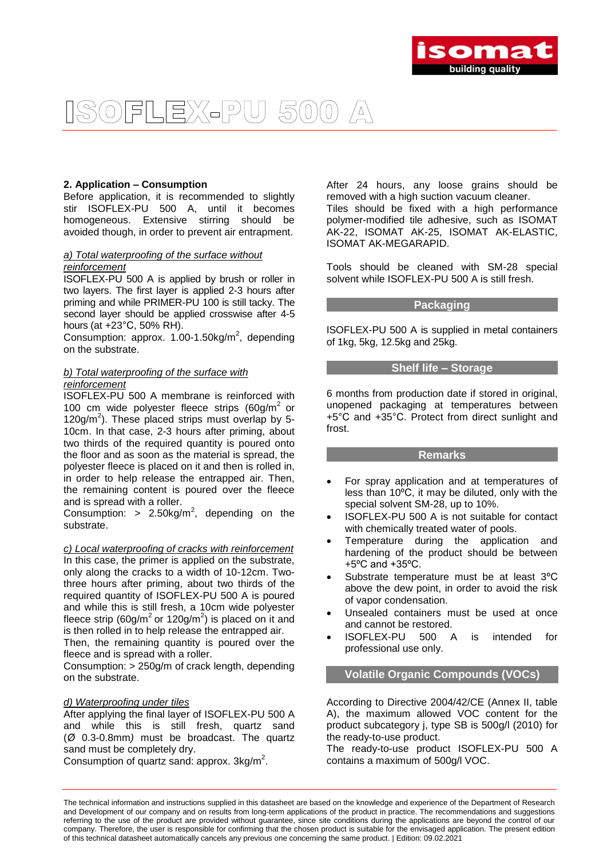

## $\boxed{\triangle}$ SOFLEX-PU 500

## **2. Application – Consumption**

Before application, it is recommended to slightly stir ISOFLEX-PU 500 A, until it becomes homogeneous. Extensive stirring should be avoided though, in order to prevent air entrapment.

## *a) Total waterproofing of the surface without reinforcement*

ISOFLEX-PU 500 A is applied by brush or roller in two layers. The first layer is applied 2-3 hours after priming and while PRIMER-PU 100 is still tacky. The second layer should be applied crosswise after 4-5 hours (at +23°C, 50% RH).

Consumption: approx.  $1.00 - 1.50$ kg/m<sup>2</sup>, depending on the substrate.

## *b) Total waterproofing of the surface with reinforcement*

ISOFLEX-PU 500 A membrane is reinforced with 100 cm wide polyester fleece strips  $(60g/m^2)$  or  $120$ g/m<sup>2</sup>). These placed strips must overlap by 5-10cm. In that case, 2-3 hours after priming, about two thirds of the required quantity is poured onto the floor and as soon as the material is spread, the polyester fleece is placed on it and then is rolled in, in order to help release the entrapped air. Then, the remaining content is poured over the fleece and is spread with a roller.

Consumption:  $> 2.50 \text{kg/m}^2$ , depending on the substrate.

*c) Local waterproofing of cracks with reinforcement* In this case, the primer is applied on the substrate, only along the cracks to a width of 10-12cm. Twothree hours after priming, about two thirds of the required quantity of ISOFLEX-PU 500 A is poured and while this is still fresh, a 10cm wide polyester fleece strip (60g/m<sup>2</sup> or 120g/m<sup>2</sup>) is placed on it and is then rolled in to help release the entrapped air.

Then, the remaining quantity is poured over the fleece and is spread with a roller.

Consumption: > 250g/m of crack length, depending on the substrate.

## *d) Waterproofing under tiles*

After applying the final layer of ISOFLEX-PU 500 A and while this is still fresh, quartz sand (*Ø* 0.3-0.8mm*)* must be broadcast. The quartz sand must be completely dry.

Consumption of quartz sand: approx.  $3kg/m^2$ .

After 24 hours, any loose grains should be removed with a high suction vacuum cleaner.

Tiles should be fixed with a high performance polymer-modified tile adhesive, such as ISOMAT AK-22, ISOMAT AK-25, ISOMAT AK-ELASTIC, ISOMAT AK-MEGARAPID.

Tools should be cleaned with SM-28 special solvent while ISOFLEX-PU 500 A is still fresh.

## **Packaging**

ISOFLEX-PU 500 A is supplied in metal containers of 1kg, 5kg, 12.5kg and 25kg.

## **Shelf life – Storage**

6 months from production date if stored in original, unopened packaging at temperatures between +5°C and +35°C. Protect from direct sunlight and frost.

## **Remarks**

- For spray application and at temperatures of less than 10ºC, it may be diluted, only with the special solvent SM-28, up to 10%.
- ISOFLEX-PU 500 A is not suitable for contact with chemically treated water of pools.
- Temperature during the application and hardening of the product should be between +5ºC and +35ºC.
- Substrate temperature must be at least 3ºC above the dew point, in order to avoid the risk of vapor condensation.
- Unsealed containers must be used at once and cannot be restored.
- ISOFLEX-PU 500 A is intended for professional use only.

## **Volatile Organic Compounds (VOCs)**

According to Directive 2004/42/CE (Annex II, table A), the maximum allowed VOC content for the product subcategory j, type SB is 500g/l (2010) for the ready-to-use product.

The ready-to-use product ISOFLEX-PU 500 A contains a maximum of 500g/l VOC.

The technical information and instructions supplied in this datasheet are based on the knowledge and experience of the Department of Research and Development of our company and on results from long-term applications of the product in practice. The recommendations and suggestions referring to the use of the product are provided without guarantee, since site conditions during the applications are beyond the control of our company. Therefore, the user is responsible for confirming that the chosen product is suitable for the envisaged application. The present edition of this technical datasheet automatically cancels any previous one concerning the same product. | Edition: 09.02.2021